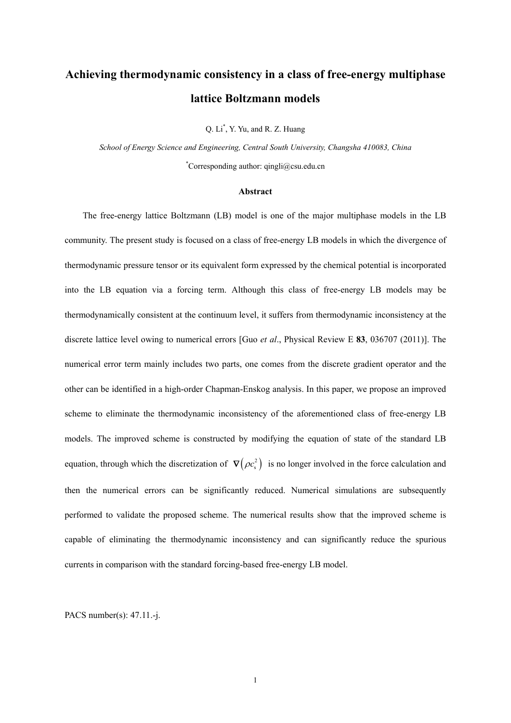# **Achieving thermodynamic consistency in a class of free-energy multiphase lattice Boltzmann models**

Q. Li\* , Y. Yu, and R. Z. Huang

*School of Energy Science and Engineering, Central South University, Changsha 410083, China*  \* Corresponding author: qingli@csu.edu.cn

## **Abstract**

 The free-energy lattice Boltzmann (LB) model is one of the major multiphase models in the LB community. The present study is focused on a class of free-energy LB models in which the divergence of thermodynamic pressure tensor or its equivalent form expressed by the chemical potential is incorporated into the LB equation via a forcing term. Although this class of free-energy LB models may be thermodynamically consistent at the continuum level, it suffers from thermodynamic inconsistency at the discrete lattice level owing to numerical errors [Guo *et al*., Physical Review E **83**, 036707 (2011)]. The numerical error term mainly includes two parts, one comes from the discrete gradient operator and the other can be identified in a high-order Chapman-Enskog analysis. In this paper, we propose an improved scheme to eliminate the thermodynamic inconsistency of the aforementioned class of free-energy LB models. The improved scheme is constructed by modifying the equation of state of the standard LB equation, through which the discretization of  $\nabla (\rho c_s^2)$  is no longer involved in the force calculation and then the numerical errors can be significantly reduced. Numerical simulations are subsequently performed to validate the proposed scheme. The numerical results show that the improved scheme is capable of eliminating the thermodynamic inconsistency and can significantly reduce the spurious currents in comparison with the standard forcing-based free-energy LB model.

PACS number(s): 47.11.-j.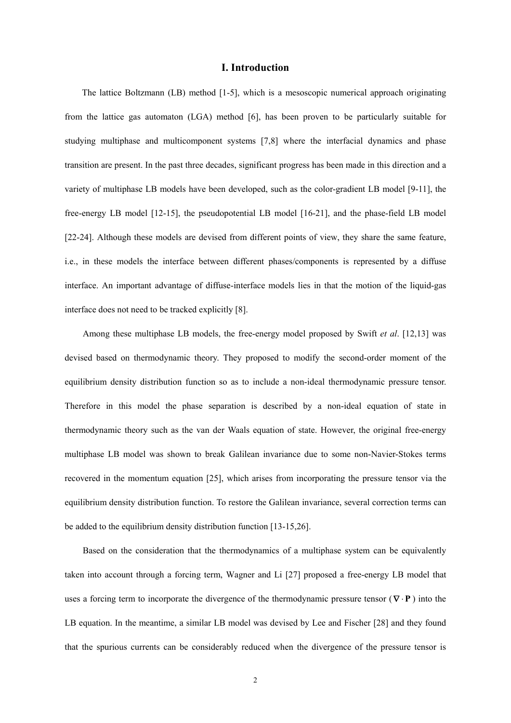## **I. Introduction**

 The lattice Boltzmann (LB) method [1-5], which is a mesoscopic numerical approach originating from the lattice gas automaton (LGA) method [6], has been proven to be particularly suitable for studying multiphase and multicomponent systems [7,8] where the interfacial dynamics and phase transition are present. In the past three decades, significant progress has been made in this direction and a variety of multiphase LB models have been developed, such as the color-gradient LB model [9-11], the free-energy LB model [12-15], the pseudopotential LB model [16-21], and the phase-field LB model [22-24]. Although these models are devised from different points of view, they share the same feature, i.e., in these models the interface between different phases/components is represented by a diffuse interface. An important advantage of diffuse-interface models lies in that the motion of the liquid-gas interface does not need to be tracked explicitly [8].

 Among these multiphase LB models, the free-energy model proposed by Swift *et al*. [12,13] was devised based on thermodynamic theory. They proposed to modify the second-order moment of the equilibrium density distribution function so as to include a non-ideal thermodynamic pressure tensor. Therefore in this model the phase separation is described by a non-ideal equation of state in thermodynamic theory such as the van der Waals equation of state. However, the original free-energy multiphase LB model was shown to break Galilean invariance due to some non-Navier-Stokes terms recovered in the momentum equation [25], which arises from incorporating the pressure tensor via the equilibrium density distribution function. To restore the Galilean invariance, several correction terms can be added to the equilibrium density distribution function [13-15,26].

 Based on the consideration that the thermodynamics of a multiphase system can be equivalently taken into account through a forcing term, Wagner and Li [27] proposed a free-energy LB model that uses a forcing term to incorporate the divergence of the thermodynamic pressure tensor  $(\nabla \cdot \mathbf{P})$  into the LB equation. In the meantime, a similar LB model was devised by Lee and Fischer [28] and they found that the spurious currents can be considerably reduced when the divergence of the pressure tensor is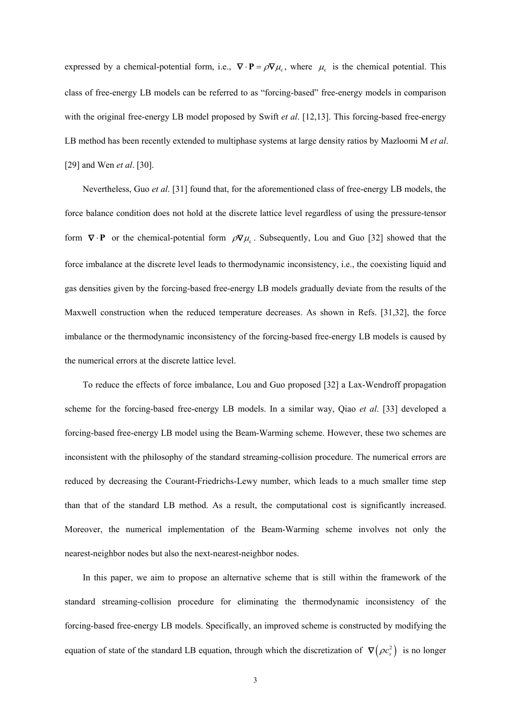expressed by a chemical-potential form, i.e.,  $\nabla \cdot \mathbf{P} = \rho \nabla \mu_c$ , where  $\mu_c$  is the chemical potential. This class of free-energy LB models can be referred to as "forcing-based" free-energy models in comparison with the original free-energy LB model proposed by Swift *et al*. [12,13]. This forcing-based free-energy LB method has been recently extended to multiphase systems at large density ratios by Mazloomi M *et al*. [29] and Wen *et al*. [30].

 Nevertheless, Guo *et al*. [31] found that, for the aforementioned class of free-energy LB models, the force balance condition does not hold at the discrete lattice level regardless of using the pressure-tensor form  $\nabla \cdot \mathbf{P}$  or the chemical-potential form  $\rho \nabla \mu_c$ . Subsequently, Lou and Guo [32] showed that the force imbalance at the discrete level leads to thermodynamic inconsistency, i.e., the coexisting liquid and gas densities given by the forcing-based free-energy LB models gradually deviate from the results of the Maxwell construction when the reduced temperature decreases. As shown in Refs. [31,32], the force imbalance or the thermodynamic inconsistency of the forcing-based free-energy LB models is caused by the numerical errors at the discrete lattice level.

 To reduce the effects of force imbalance, Lou and Guo proposed [32] a Lax-Wendroff propagation scheme for the forcing-based free-energy LB models. In a similar way, Qiao *et al*. [33] developed a forcing-based free-energy LB model using the Beam-Warming scheme. However, these two schemes are inconsistent with the philosophy of the standard streaming-collision procedure. The numerical errors are reduced by decreasing the Courant-Friedrichs-Lewy number, which leads to a much smaller time step than that of the standard LB method. As a result, the computational cost is significantly increased. Moreover, the numerical implementation of the Beam-Warming scheme involves not only the nearest-neighbor nodes but also the next-nearest-neighbor nodes.

 In this paper, we aim to propose an alternative scheme that is still within the framework of the standard streaming-collision procedure for eliminating the thermodynamic inconsistency of the forcing-based free-energy LB models. Specifically, an improved scheme is constructed by modifying the equation of state of the standard LB equation, through which the discretization of  $\nabla (\rho c_s^2)$  is no longer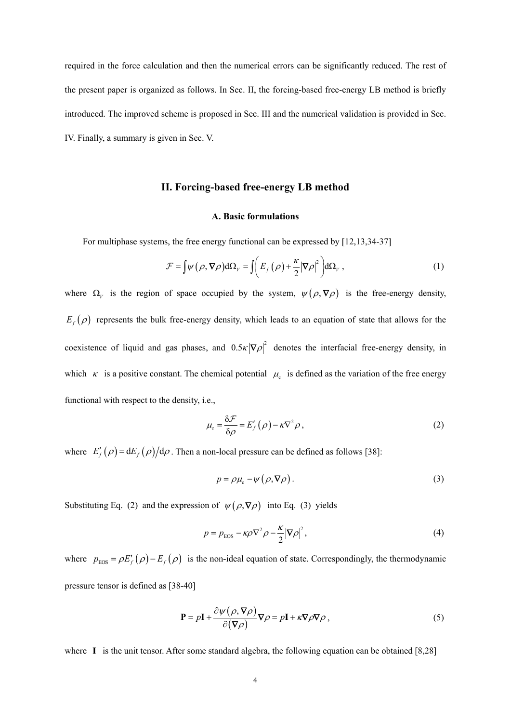required in the force calculation and then the numerical errors can be significantly reduced. The rest of the present paper is organized as follows. In Sec. II, the forcing-based free-energy LB method is briefly introduced. The improved scheme is proposed in Sec. III and the numerical validation is provided in Sec. IV. Finally, a summary is given in Sec. V.

## **II. Forcing-based free-energy LB method**

#### **A. Basic formulations**

For multiphase systems, the free energy functional can be expressed by [12,13,34-37]

$$
\mathcal{F} = \int \psi(\rho, \nabla \rho) d\Omega_{V} = \int \left( E_f(\rho) + \frac{\kappa}{2} |\nabla \rho|^2 \right) d\Omega_{V}, \qquad (1)
$$

where  $\Omega_{V}$  is the region of space occupied by the system,  $\psi(\rho, \nabla \rho)$  is the free-energy density,  $E_f(\rho)$  represents the bulk free-energy density, which leads to an equation of state that allows for the coexistence of liquid and gas phases, and  $0.5 \kappa |\nabla \rho|^2$  denotes the interfacial free-energy density, in which  $\kappa$  is a positive constant. The chemical potential  $\mu_c$  is defined as the variation of the free energy functional with respect to the density, i.e.,

$$
\mu_{\rm c} = \frac{\delta \mathcal{F}}{\delta \rho} = E'_f(\rho) - \kappa \nabla^2 \rho \,, \tag{2}
$$

where  $E'_f(\rho) = dE_f(\rho)/d\rho$ . Then a non-local pressure can be defined as follows [38]:

$$
p = \rho \mu_{\rm c} - \psi \left( \rho, \nabla \rho \right). \tag{3}
$$

Substituting Eq. (2) and the expression of  $\psi(\rho, \nabla \rho)$  into Eq. (3) yields

$$
p = p_{\text{EOS}} - \kappa \rho \nabla^2 \rho - \frac{\kappa}{2} |\nabla \rho|^2, \tag{4}
$$

where  $p_{\text{EOS}} = \rho E'_f(\rho) - E_f(\rho)$  is the non-ideal equation of state. Correspondingly, the thermodynamic pressure tensor is defined as [38-40]

$$
\mathbf{P} = p\mathbf{I} + \frac{\partial \psi(\rho, \nabla \rho)}{\partial (\nabla \rho)} \nabla \rho = p\mathbf{I} + \kappa \nabla \rho \nabla \rho , \qquad (5)
$$

where **I** is the unit tensor. After some standard algebra, the following equation can be obtained [8,28]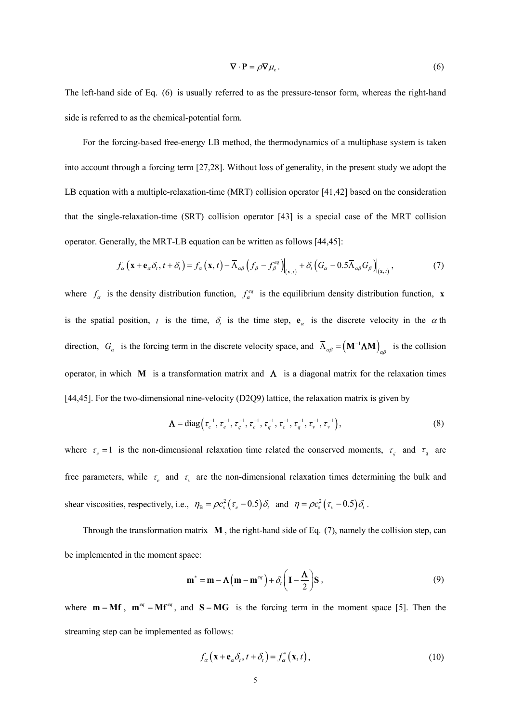$$
\nabla \cdot \mathbf{P} = \rho \nabla \mu_{\rm c} \,. \tag{6}
$$

The left-hand side of Eq. (6) is usually referred to as the pressure-tensor form, whereas the right-hand side is referred to as the chemical-potential form.

 For the forcing-based free-energy LB method, the thermodynamics of a multiphase system is taken into account through a forcing term [27,28]. Without loss of generality, in the present study we adopt the LB equation with a multiple-relaxation-time (MRT) collision operator [41,42] based on the consideration that the single-relaxation-time (SRT) collision operator [43] is a special case of the MRT collision operator. Generally, the MRT-LB equation can be written as follows [44,45]:

$$
f_{\alpha}\left(\mathbf{x}+\mathbf{e}_{\alpha}\delta_{t},t+\delta_{t}\right)=f_{\alpha}\left(\mathbf{x},t\right)-\overline{\Lambda}_{\alpha\beta}\left(f_{\beta}-f_{\beta}^{eq}\right)\Big|_{(\mathbf{x},t)}+\delta_{t}\left(G_{\alpha}-0.5\overline{\Lambda}_{\alpha\beta}G_{\beta}\right)\Big|_{(\mathbf{x},t)},\tag{7}
$$

where  $f_a$  is the density distribution function,  $f_a^{eq}$  is the equilibrium density distribution function, **x** is the spatial position, *t* is the time,  $\delta_t$  is the time step,  $\mathbf{e}_{\alpha}$  is the discrete velocity in the  $\alpha$  th direction,  $G_{\alpha}$  is the forcing term in the discrete velocity space, and  $\overline{\Lambda}_{\alpha\beta} = (\mathbf{M}^{-1}\Lambda\mathbf{M})_{\alpha\beta}$  is the collision operator, in which **M** is a transformation matrix and  $\Lambda$  is a diagonal matrix for the relaxation times [44,45]. For the two-dimensional nine-velocity (D2Q9) lattice, the relaxation matrix is given by

$$
\mathbf{\Lambda} = \text{diag}\left(\tau_c^{-1}, \tau_e^{-1}, \tau_c^{-1}, \tau_c^{-1}, \tau_q^{-1}, \tau_c^{-1}, \tau_q^{-1}, \tau_v^{-1}, \tau_v^{-1}\right),\tag{8}
$$

where  $\tau_c = 1$  is the non-dimensional relaxation time related the conserved moments,  $\tau_s$  and  $\tau_q$  are free parameters, while  $\tau_e$  and  $\tau_v$  are the non-dimensional relaxation times determining the bulk and shear viscosities, respectively, i.e.,  $\eta_B = \rho c_s^2 (\tau_e - 0.5) \delta_t$  and  $\eta = \rho c_s^2 (\tau_v - 0.5) \delta_t$ .

 Through the transformation matrix **M** , the right-hand side of Eq. (7), namely the collision step, can be implemented in the moment space:

$$
\mathbf{m}^* = \mathbf{m} - \mathbf{\Lambda} \left( \mathbf{m} - \mathbf{m}^{eq} \right) + \delta_t \left( \mathbf{I} - \frac{\mathbf{\Lambda}}{2} \right) \mathbf{S} \,, \tag{9}
$$

where  $\mathbf{m} = \mathbf{M} \mathbf{f}$ ,  $\mathbf{m}^{eq} = \mathbf{M} \mathbf{f}^{eq}$ , and  $\mathbf{S} = \mathbf{M} \mathbf{G}$  is the forcing term in the moment space [5]. Then the streaming step can be implemented as follows:

$$
f_{\alpha}\left(\mathbf{x}+\mathbf{e}_{\alpha}\delta_{t},t+\delta_{t}\right)=f_{\alpha}^{*}\left(\mathbf{x},t\right),\tag{10}
$$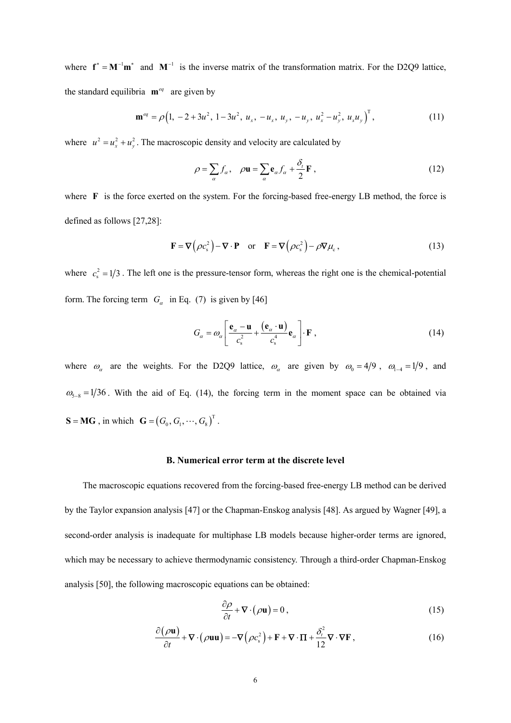where  $f^* = M^{-1}m^*$  and  $M^{-1}$  is the inverse matrix of the transformation matrix. For the D2Q9 lattice, the standard equilibria  $m^{eq}$  are given by

$$
\mathbf{m}^{eq} = \rho \left( 1, -2 + 3u^2, 1 - 3u^2, u_x, -u_x, u_y, -u_y, u_x^2 - u_y^2, u_x u_y \right)^T, \tag{11}
$$

where  $u^2 = u_x^2 + u_y^2$ . The macroscopic density and velocity are calculated by

$$
\rho = \sum_{\alpha} f_{\alpha}, \quad \rho \mathbf{u} = \sum_{\alpha} \mathbf{e}_{\alpha} f_{\alpha} + \frac{\delta_{t}}{2} \mathbf{F}, \qquad (12)
$$

where **F** is the force exerted on the system. For the forcing-based free-energy LB method, the force is defined as follows [27,28]:

$$
\mathbf{F} = \nabla (\rho c_s^2) - \nabla \cdot \mathbf{P} \quad \text{or} \quad \mathbf{F} = \nabla (\rho c_s^2) - \rho \nabla \mu_c, \tag{13}
$$

where  $c_s^2 = 1/3$ . The left one is the pressure-tensor form, whereas the right one is the chemical-potential form. The forcing term  $G_{\alpha}$  in Eq. (7) is given by [46]

$$
G_{\alpha} = \omega_{\alpha} \left[ \frac{\mathbf{e}_{\alpha} - \mathbf{u}}{c_{\rm s}^2} + \frac{(\mathbf{e}_{\alpha} \cdot \mathbf{u})}{c_{\rm s}^4} \mathbf{e}_{\alpha} \right] \cdot \mathbf{F} \,, \tag{14}
$$

where  $\omega_{\alpha}$  are the weights. For the D2Q9 lattice,  $\omega_{\alpha}$  are given by  $\omega_0 = 4/9$ ,  $\omega_{1-4} = 1/9$ , and  $\omega_{5-8} = 1/36$ . With the aid of Eq. (14), the forcing term in the moment space can be obtained via  $\mathbf{S} = \mathbf{M}\mathbf{G}$ , in which  $\mathbf{G} = (G_0, G_1, \dots, G_8)^\mathrm{T}$ .

#### **B. Numerical error term at the discrete level**

 The macroscopic equations recovered from the forcing-based free-energy LB method can be derived by the Taylor expansion analysis [47] or the Chapman-Enskog analysis [48]. As argued by Wagner [49], a second-order analysis is inadequate for multiphase LB models because higher-order terms are ignored, which may be necessary to achieve thermodynamic consistency. Through a third-order Chapman-Enskog analysis [50], the following macroscopic equations can be obtained:

$$
\frac{\partial \rho}{\partial t} + \nabla \cdot (\rho \mathbf{u}) = 0, \qquad (15)
$$

$$
\frac{\partial (\rho \mathbf{u})}{\partial t} + \nabla \cdot (\rho \mathbf{u} \mathbf{u}) = -\nabla (\rho c_s^2) + \mathbf{F} + \nabla \cdot \mathbf{\Pi} + \frac{\delta_t^2}{12} \nabla \cdot \nabla \mathbf{F},
$$
\n(16)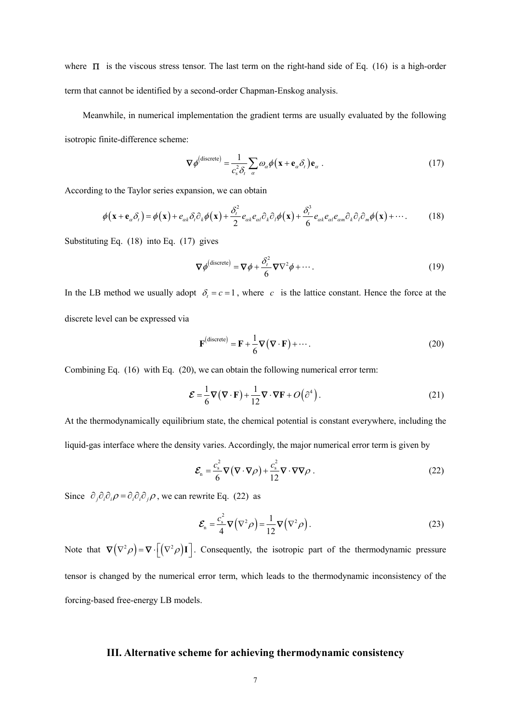where  $\Pi$  is the viscous stress tensor. The last term on the right-hand side of Eq. (16) is a high-order term that cannot be identified by a second-order Chapman-Enskog analysis.

 Meanwhile, in numerical implementation the gradient terms are usually evaluated by the following isotropic finite-difference scheme:

$$
\nabla \phi^{(\text{discrete})} = \frac{1}{c_s^2 \delta_t} \sum_{\alpha} \omega_{\alpha} \phi \left( \mathbf{x} + \mathbf{e}_{\alpha} \delta_t \right) \mathbf{e}_{\alpha} \ . \tag{17}
$$

According to the Taylor series expansion, we can obtain

$$
\phi(\mathbf{x}+\mathbf{e}_{\alpha}\delta_{t})=\phi(\mathbf{x})+e_{\alpha k}\delta_{t}\partial_{k}\phi(\mathbf{x})+\frac{\delta_{t}^{2}}{2}e_{\alpha k}e_{\alpha l}\partial_{k}\partial_{l}\phi(\mathbf{x})+\frac{\delta_{t}^{3}}{6}e_{\alpha k}e_{\alpha l}e_{\alpha m}\partial_{k}\partial_{l}\partial_{m}\phi(\mathbf{x})+\cdots
$$
 (18)

Substituting Eq. (18) into Eq. (17) gives

$$
\nabla \phi^{(\text{discrete})} = \nabla \phi + \frac{\delta_i^2}{6} \nabla \nabla^2 \phi + \cdots.
$$
 (19)

In the LB method we usually adopt  $\delta_t = c = 1$ , where *c* is the lattice constant. Hence the force at the discrete level can be expressed via

$$
\mathbf{F}^{\text{(discrete)}} = \mathbf{F} + \frac{1}{6} \nabla (\nabla \cdot \mathbf{F}) + \cdots.
$$
 (20)

Combining Eq. (16) with Eq. (20), we can obtain the following numerical error term:

$$
\mathcal{E} = \frac{1}{6} \nabla (\nabla \cdot \mathbf{F}) + \frac{1}{12} \nabla \cdot \nabla \mathbf{F} + O(\partial^4).
$$
 (21)

At the thermodynamically equilibrium state, the chemical potential is constant everywhere, including the liquid-gas interface where the density varies. Accordingly, the major numerical error term is given by

$$
\mathcal{E}_{n} = \frac{c_s^2}{6} \nabla (\nabla \cdot \nabla \rho) + \frac{c_s^2}{12} \nabla \cdot \nabla \nabla \rho .
$$
\n(22)

Since  $\partial_i \partial_i \partial_j \rho = \partial_i \partial_i \partial_j \rho$ , we can rewrite Eq. (22) as

$$
\mathcal{E}_{n} = \frac{c_{s}^{2}}{4} \nabla (\nabla^{2} \rho) = \frac{1}{12} \nabla (\nabla^{2} \rho).
$$
 (23)

Note that  $\nabla (\nabla^2 \rho) = \nabla \cdot [(\nabla^2 \rho) \mathbf{I}]$ . Consequently, the isotropic part of the thermodynamic pressure tensor is changed by the numerical error term, which leads to the thermodynamic inconsistency of the forcing-based free-energy LB models.

# **III. Alternative scheme for achieving thermodynamic consistency**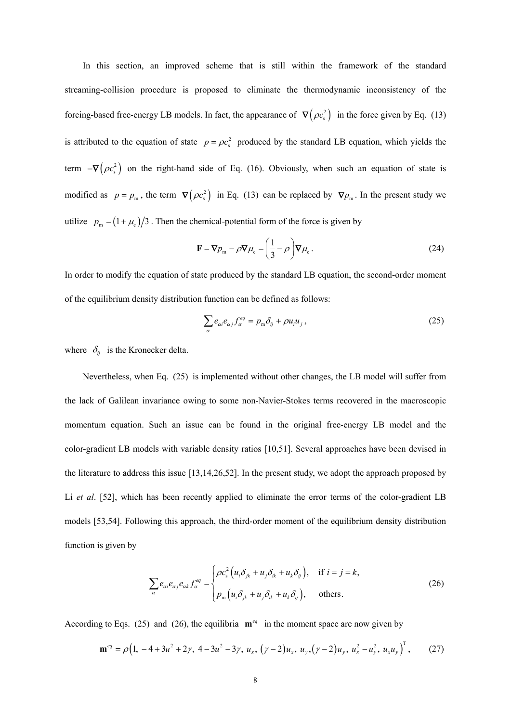In this section, an improved scheme that is still within the framework of the standard streaming-collision procedure is proposed to eliminate the thermodynamic inconsistency of the forcing-based free-energy LB models. In fact, the appearance of  $\nabla (\rho c_s^2)$  in the force given by Eq. (13) is attributed to the equation of state  $p = \rho c_s^2$  produced by the standard LB equation, which yields the term  $-\nabla (\rho c_s^2)$  on the right-hand side of Eq. (16). Obviously, when such an equation of state is modified as  $p = p_m$ , the term  $\nabla (\rho c_s^2)$  in Eq. (13) can be replaced by  $\nabla p_m$ . In the present study we utilize  $p_m = (1 + \mu_c)/3$ . Then the chemical-potential form of the force is given by

$$
\mathbf{F} = \nabla p_{\rm m} - \rho \nabla \mu_{\rm c} = \left(\frac{1}{3} - \rho\right) \nabla \mu_{\rm c} \,. \tag{24}
$$

In order to modify the equation of state produced by the standard LB equation, the second-order moment of the equilibrium density distribution function can be defined as follows:

$$
\sum_{\alpha} e_{\alpha i} e_{\alpha j} f_{\alpha}^{eq} = p_{\rm m} \delta_{ij} + \rho u_i u_j, \qquad (25)
$$

where  $\delta_{ij}$  is the Kronecker delta.

 Nevertheless, when Eq. (25) is implemented without other changes, the LB model will suffer from the lack of Galilean invariance owing to some non-Navier-Stokes terms recovered in the macroscopic momentum equation. Such an issue can be found in the original free-energy LB model and the color-gradient LB models with variable density ratios [10,51]. Several approaches have been devised in the literature to address this issue [13,14,26,52]. In the present study, we adopt the approach proposed by Li *et al.* [52], which has been recently applied to eliminate the error terms of the color-gradient LB models [53,54]. Following this approach, the third-order moment of the equilibrium density distribution function is given by

$$
\sum_{\alpha} e_{\alpha i} e_{\alpha j} e_{\alpha k} f_{\alpha}^{eq} = \begin{cases} \rho c_s^2 \left( u_i \delta_{jk} + u_j \delta_{ik} + u_k \delta_{ij} \right), & \text{if } i = j = k, \\ p_m \left( u_i \delta_{jk} + u_j \delta_{ik} + u_k \delta_{ij} \right), & \text{others.} \end{cases}
$$
(26)

According to Eqs. (25) and (26), the equilibria  $\mathbf{m}^{eq}$  in the moment space are now given by

$$
\mathbf{m}^{eq} = \rho \left( 1, -4 + 3u^2 + 2\gamma, 4 - 3u^2 - 3\gamma, u_x, \left( \gamma - 2 \right) u_x, u_y, \left( \gamma - 2 \right) u_y, u_x^2 - u_y^2, u_x u_y \right)^T, \tag{27}
$$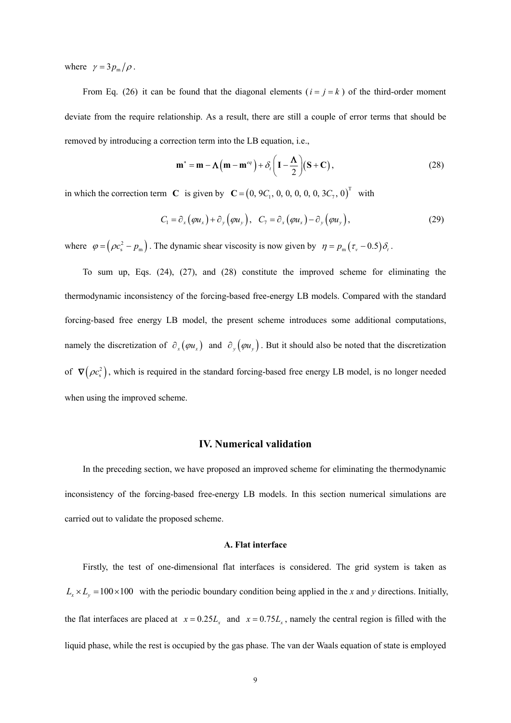where  $\gamma = 3p_m/\rho$ .

From Eq. (26) it can be found that the diagonal elements ( $i = j = k$ ) of the third-order moment deviate from the require relationship. As a result, there are still a couple of error terms that should be removed by introducing a correction term into the LB equation, i.e.,

$$
\mathbf{m}^* = \mathbf{m} - \mathbf{\Lambda} \left( \mathbf{m} - \mathbf{m}^{eq} \right) + \delta_i \left( \mathbf{I} - \frac{\mathbf{\Lambda}}{2} \right) \left( \mathbf{S} + \mathbf{C} \right),\tag{28}
$$

in which the correction term **C** is given by  $C = (0, 9C_1, 0, 0, 0, 0, 0, 3C_7, 0)^T$  with

$$
C_1 = \partial_x (\varphi u_x) + \partial_y (\varphi u_y), \quad C_7 = \partial_x (\varphi u_x) - \partial_y (\varphi u_y), \tag{29}
$$

where  $\varphi = (\rho c_s^2 - p_m)$ . The dynamic shear viscosity is now given by  $\eta = p_m (\tau_v - 0.5) \delta_t$ .

 To sum up, Eqs. (24), (27), and (28) constitute the improved scheme for eliminating the thermodynamic inconsistency of the forcing-based free-energy LB models. Compared with the standard forcing-based free energy LB model, the present scheme introduces some additional computations, namely the discretization of  $\partial_x(\varphi u_x)$  and  $\partial_y(\varphi u_y)$ . But it should also be noted that the discretization of  $\nabla (\rho c_s^2)$ , which is required in the standard forcing-based free energy LB model, is no longer needed when using the improved scheme.

## **IV. Numerical validation**

 In the preceding section, we have proposed an improved scheme for eliminating the thermodynamic inconsistency of the forcing-based free-energy LB models. In this section numerical simulations are carried out to validate the proposed scheme.

## **A. Flat interface**

 Firstly, the test of one-dimensional flat interfaces is considered. The grid system is taken as  $L_x \times L_y = 100 \times 100$  with the periodic boundary condition being applied in the *x* and *y* directions. Initially, the flat interfaces are placed at  $x = 0.25 L_x$  and  $x = 0.75 L_x$ , namely the central region is filled with the liquid phase, while the rest is occupied by the gas phase. The van der Waals equation of state is employed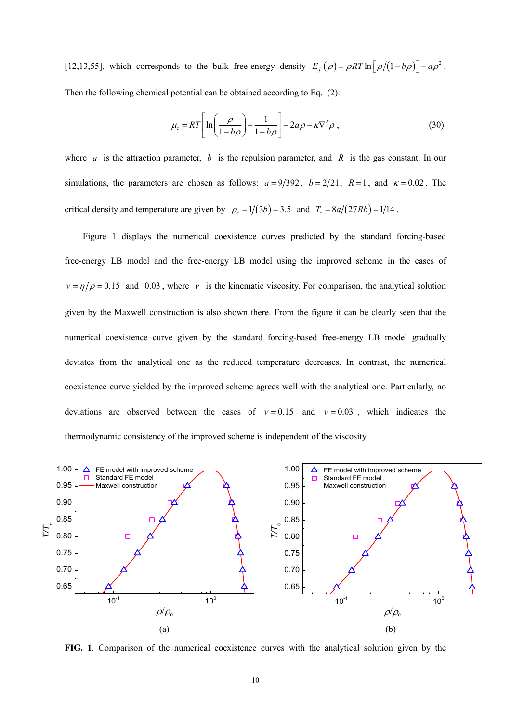[12,13,55], which corresponds to the bulk free-energy density  $E_f(\rho) = \rho RT \ln \left[ \frac{\rho}{(1-b\rho)} - a\rho^2 \right]$ . Then the following chemical potential can be obtained according to Eq. (2):

$$
\mu_{\rm c} = RT \left[ \ln \left( \frac{\rho}{1 - b\rho} \right) + \frac{1}{1 - b\rho} \right] - 2a\rho - \kappa \nabla^2 \rho \;, \tag{30}
$$

where *a* is the attraction parameter, *b* is the repulsion parameter, and *R* is the gas constant. In our simulations, the parameters are chosen as follows:  $a = 9/392$ ,  $b = 2/21$ ,  $R = 1$ , and  $\kappa = 0.02$ . The critical density and temperature are given by  $\rho_c = 1/(3b) = 3.5$  and  $T_c = 8a/(27Rb) = 1/14$ .

 Figure 1 displays the numerical coexistence curves predicted by the standard forcing-based free-energy LB model and the free-energy LB model using the improved scheme in the cases of  $v = \frac{\eta}{\rho} = 0.15$  and 0.03, where v is the kinematic viscosity. For comparison, the analytical solution given by the Maxwell construction is also shown there. From the figure it can be clearly seen that the numerical coexistence curve given by the standard forcing-based free-energy LB model gradually deviates from the analytical one as the reduced temperature decreases. In contrast, the numerical coexistence curve yielded by the improved scheme agrees well with the analytical one. Particularly, no deviations are observed between the cases of  $v = 0.15$  and  $v = 0.03$ , which indicates the thermodynamic consistency of the improved scheme is independent of the viscosity.



**FIG. 1**. Comparison of the numerical coexistence curves with the analytical solution given by the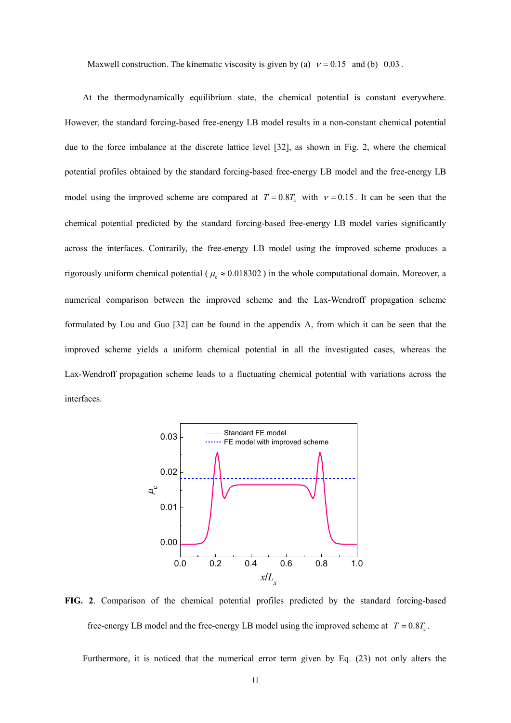Maxwell construction. The kinematic viscosity is given by (a)  $v = 0.15$  and (b) 0.03.

 At the thermodynamically equilibrium state, the chemical potential is constant everywhere. However, the standard forcing-based free-energy LB model results in a non-constant chemical potential due to the force imbalance at the discrete lattice level [32], as shown in Fig. 2, where the chemical potential profiles obtained by the standard forcing-based free-energy LB model and the free-energy LB model using the improved scheme are compared at  $T = 0.8T_c$  with  $v = 0.15$ . It can be seen that the chemical potential predicted by the standard forcing-based free-energy LB model varies significantly across the interfaces. Contrarily, the free-energy LB model using the improved scheme produces a rigorously uniform chemical potential ( $\mu$ <sub>c</sub>  $\approx$  0.018302) in the whole computational domain. Moreover, a numerical comparison between the improved scheme and the Lax-Wendroff propagation scheme formulated by Lou and Guo [32] can be found in the appendix A, from which it can be seen that the improved scheme yields a uniform chemical potential in all the investigated cases, whereas the Lax-Wendroff propagation scheme leads to a fluctuating chemical potential with variations across the interfaces.



**FIG. 2**. Comparison of the chemical potential profiles predicted by the standard forcing-based free-energy LB model and the free-energy LB model using the improved scheme at  $T = 0.8 T_{0}$ .

Furthermore, it is noticed that the numerical error term given by Eq. (23) not only alters the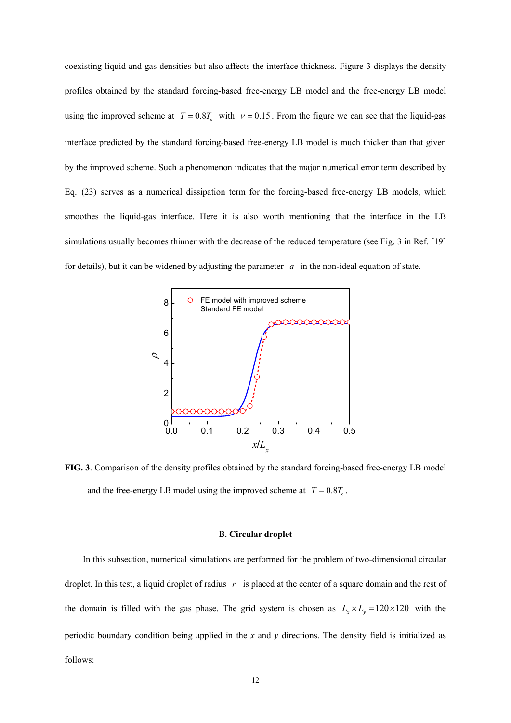coexisting liquid and gas densities but also affects the interface thickness. Figure 3 displays the density profiles obtained by the standard forcing-based free-energy LB model and the free-energy LB model using the improved scheme at  $T = 0.8T_c$  with  $v = 0.15$ . From the figure we can see that the liquid-gas interface predicted by the standard forcing-based free-energy LB model is much thicker than that given by the improved scheme. Such a phenomenon indicates that the major numerical error term described by Eq. (23) serves as a numerical dissipation term for the forcing-based free-energy LB models, which smoothes the liquid-gas interface. Here it is also worth mentioning that the interface in the LB simulations usually becomes thinner with the decrease of the reduced temperature (see Fig. 3 in Ref. [19] for details), but it can be widened by adjusting the parameter *a* in the non-ideal equation of state.



**FIG. 3**. Comparison of the density profiles obtained by the standard forcing-based free-energy LB model and the free-energy LB model using the improved scheme at  $T = 0.8 T_c$ .

## **B. Circular droplet**

 In this subsection, numerical simulations are performed for the problem of two-dimensional circular droplet. In this test, a liquid droplet of radius *r* is placed at the center of a square domain and the rest of the domain is filled with the gas phase. The grid system is chosen as  $L_x \times L_y = 120 \times 120$  with the periodic boundary condition being applied in the *x* and *y* directions. The density field is initialized as follows: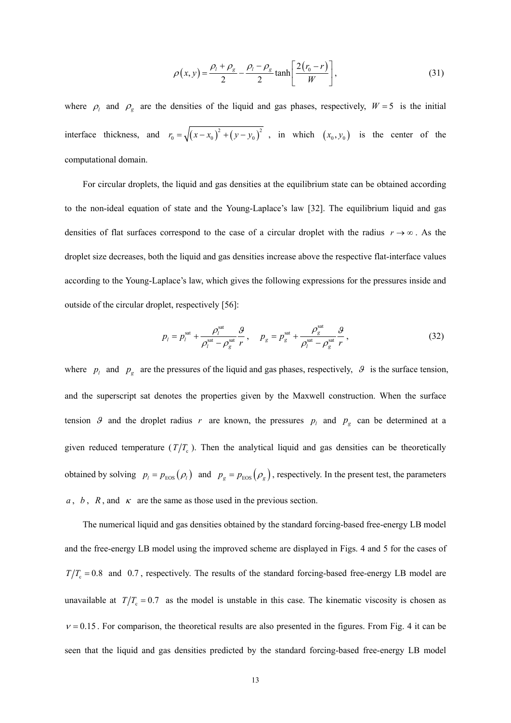$$
\rho(x,y) = \frac{\rho_l + \rho_s}{2} - \frac{\rho_l - \rho_s}{2} \tanh\left[\frac{2(r_0 - r)}{W}\right],\tag{31}
$$

where  $\rho_1$  and  $\rho_g$  are the densities of the liquid and gas phases, respectively,  $W = 5$  is the initial interface thickness, and  $r_0 = \sqrt{(x-x_0)^2 + (y-y_0)^2}$ , in which  $(x_0, y_0)$  is the center of the computational domain.

 For circular droplets, the liquid and gas densities at the equilibrium state can be obtained according to the non-ideal equation of state and the Young-Laplace's law [32]. The equilibrium liquid and gas densities of flat surfaces correspond to the case of a circular droplet with the radius  $r \to \infty$ . As the droplet size decreases, both the liquid and gas densities increase above the respective flat-interface values according to the Young-Laplace's law, which gives the following expressions for the pressures inside and outside of the circular droplet, respectively [56]:

$$
p_l = p_l^{\text{sat}} + \frac{\rho_l^{\text{sat}}}{\rho_l^{\text{sat}} - \rho_g^{\text{sat}}} \frac{g}{r}, \quad p_g = p_g^{\text{sat}} + \frac{\rho_g^{\text{sat}}}{\rho_l^{\text{sat}} - \rho_g^{\text{sat}}} \frac{g}{r},
$$
(32)

where  $p_i$  and  $p_g$  are the pressures of the liquid and gas phases, respectively,  $\theta$  is the surface tension, and the superscript sat denotes the properties given by the Maxwell construction. When the surface tension  $\theta$  and the droplet radius r are known, the pressures  $p_i$  and  $p_g$  can be determined at a given reduced temperature  $(T/T_c)$ . Then the analytical liquid and gas densities can be theoretically obtained by solving  $p_l = p_{\text{EOS}}(\rho_l)$  and  $p_g = p_{\text{EOS}}(\rho_g)$ , respectively. In the present test, the parameters  $a, b, R,$  and  $\kappa$  are the same as those used in the previous section.

 The numerical liquid and gas densities obtained by the standard forcing-based free-energy LB model and the free-energy LB model using the improved scheme are displayed in Figs. 4 and 5 for the cases of  $T/T_c = 0.8$  and 0.7, respectively. The results of the standard forcing-based free-energy LB model are unavailable at  $T/T_c = 0.7$  as the model is unstable in this case. The kinematic viscosity is chosen as  $v = 0.15$ . For comparison, the theoretical results are also presented in the figures. From Fig. 4 it can be seen that the liquid and gas densities predicted by the standard forcing-based free-energy LB model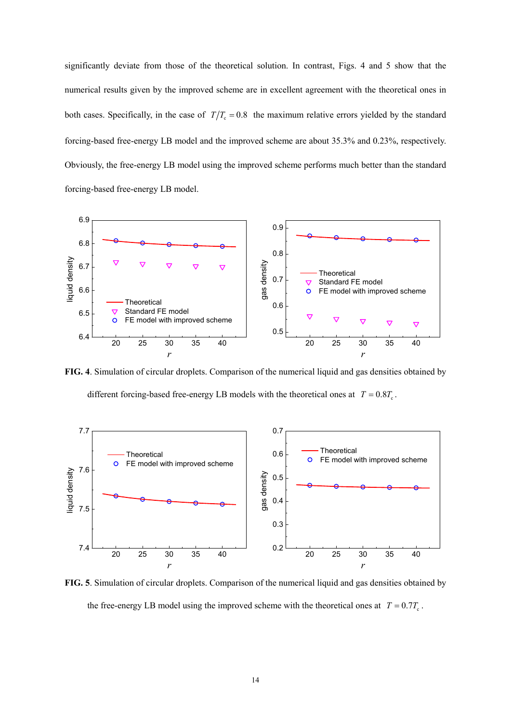significantly deviate from those of the theoretical solution. In contrast, Figs. 4 and 5 show that the numerical results given by the improved scheme are in excellent agreement with the theoretical ones in both cases. Specifically, in the case of  $T/T_c = 0.8$  the maximum relative errors yielded by the standard forcing-based free-energy LB model and the improved scheme are about 35.3% and 0.23%, respectively. Obviously, the free-energy LB model using the improved scheme performs much better than the standard forcing-based free-energy LB model.



**FIG. 4**. Simulation of circular droplets. Comparison of the numerical liquid and gas densities obtained by different forcing-based free-energy LB models with the theoretical ones at  $T = 0.8 T_c$ .



**FIG. 5**. Simulation of circular droplets. Comparison of the numerical liquid and gas densities obtained by the free-energy LB model using the improved scheme with the theoretical ones at  $T = 0.7 T_c$ .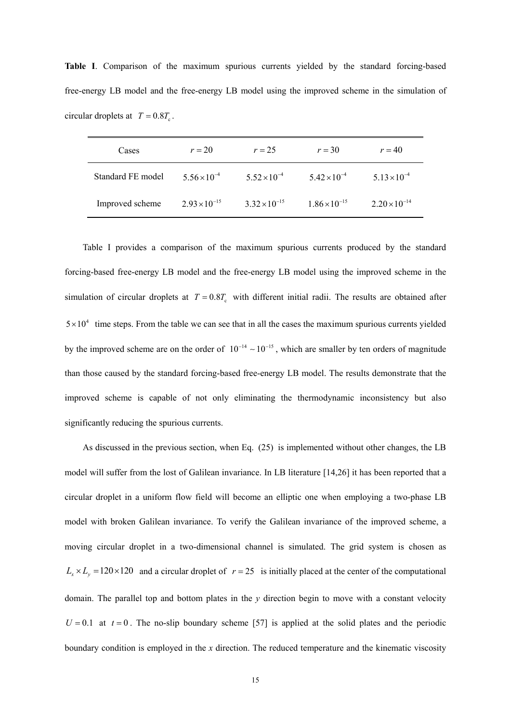**Table I**. Comparison of the maximum spurious currents yielded by the standard forcing-based free-energy LB model and the free-energy LB model using the improved scheme in the simulation of circular droplets at  $T = 0.8 T_c$ .

| Cases             | $r=20$<br>$r = 25$     |                        | $r = 30$               | $r = 40$               |
|-------------------|------------------------|------------------------|------------------------|------------------------|
| Standard FE model | $5.56 \times 10^{-4}$  | $5.52 \times 10^{-4}$  | $5.42 \times 10^{-4}$  | $5.13 \times 10^{-4}$  |
| Improved scheme   | $2.93 \times 10^{-15}$ | $3.32 \times 10^{-15}$ | $1.86 \times 10^{-15}$ | $2.20 \times 10^{-14}$ |

 Table I provides a comparison of the maximum spurious currents produced by the standard forcing-based free-energy LB model and the free-energy LB model using the improved scheme in the simulation of circular droplets at  $T = 0.8T$ , with different initial radii. The results are obtained after  $5 \times 10<sup>4</sup>$  time steps. From the table we can see that in all the cases the maximum spurious currents yielded by the improved scheme are on the order of  $10^{-14} \sim 10^{-15}$ , which are smaller by ten orders of magnitude than those caused by the standard forcing-based free-energy LB model. The results demonstrate that the improved scheme is capable of not only eliminating the thermodynamic inconsistency but also significantly reducing the spurious currents.

 As discussed in the previous section, when Eq. (25) is implemented without other changes, the LB model will suffer from the lost of Galilean invariance. In LB literature [14,26] it has been reported that a circular droplet in a uniform flow field will become an elliptic one when employing a two-phase LB model with broken Galilean invariance. To verify the Galilean invariance of the improved scheme, a moving circular droplet in a two-dimensional channel is simulated. The grid system is chosen as  $L_x \times L_y = 120 \times 120$  and a circular droplet of  $r = 25$  is initially placed at the center of the computational domain. The parallel top and bottom plates in the *y* direction begin to move with a constant velocity  $U = 0.1$  at  $t = 0$ . The no-slip boundary scheme [57] is applied at the solid plates and the periodic boundary condition is employed in the *x* direction. The reduced temperature and the kinematic viscosity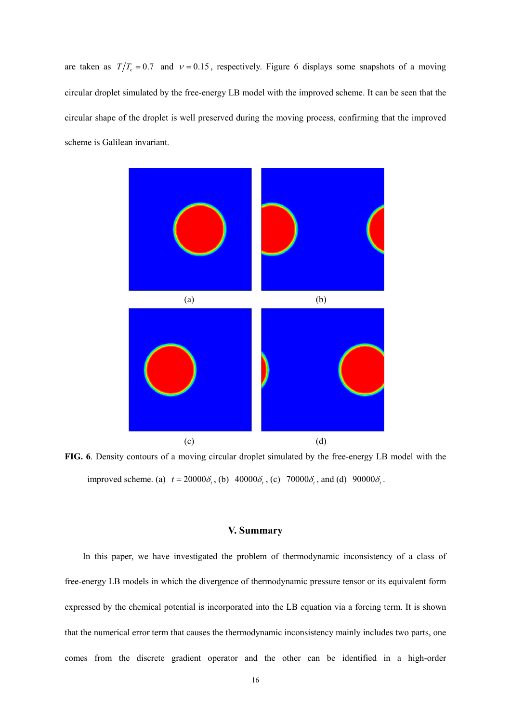are taken as  $T/T_c = 0.7$  and  $v = 0.15$ , respectively. Figure 6 displays some snapshots of a moving circular droplet simulated by the free-energy LB model with the improved scheme. It can be seen that the circular shape of the droplet is well preserved during the moving process, confirming that the improved scheme is Galilean invariant.



**FIG. 6**. Density contours of a moving circular droplet simulated by the free-energy LB model with the improved scheme. (a)  $t = 20000 \delta_{t}$ , (b)  $40000 \delta_{t}$ , (c)  $70000 \delta_{t}$ , and (d)  $90000 \delta_{t}$ .

## **V. Summary**

 In this paper, we have investigated the problem of thermodynamic inconsistency of a class of free-energy LB models in which the divergence of thermodynamic pressure tensor or its equivalent form expressed by the chemical potential is incorporated into the LB equation via a forcing term. It is shown that the numerical error term that causes the thermodynamic inconsistency mainly includes two parts, one comes from the discrete gradient operator and the other can be identified in a high-order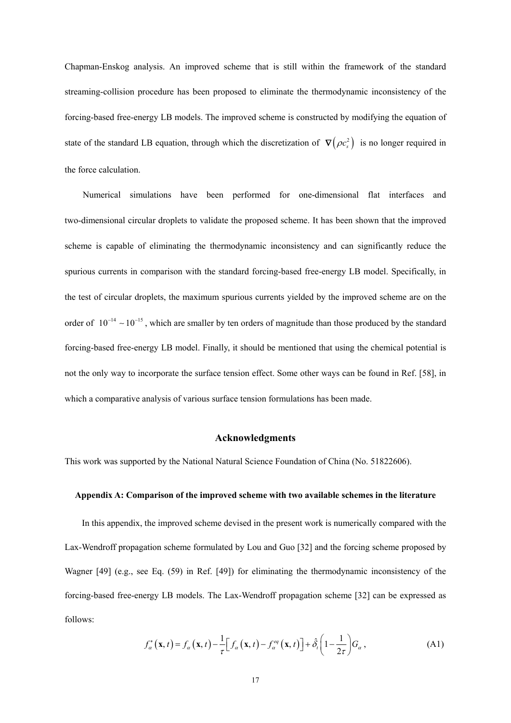Chapman-Enskog analysis. An improved scheme that is still within the framework of the standard streaming-collision procedure has been proposed to eliminate the thermodynamic inconsistency of the forcing-based free-energy LB models. The improved scheme is constructed by modifying the equation of state of the standard LB equation, through which the discretization of  $\nabla (\rho c_s^2)$  is no longer required in the force calculation.

 Numerical simulations have been performed for one-dimensional flat interfaces and two-dimensional circular droplets to validate the proposed scheme. It has been shown that the improved scheme is capable of eliminating the thermodynamic inconsistency and can significantly reduce the spurious currents in comparison with the standard forcing-based free-energy LB model. Specifically, in the test of circular droplets, the maximum spurious currents yielded by the improved scheme are on the order of  $10^{-14} \sim 10^{-15}$ , which are smaller by ten orders of magnitude than those produced by the standard forcing-based free-energy LB model. Finally, it should be mentioned that using the chemical potential is not the only way to incorporate the surface tension effect. Some other ways can be found in Ref. [58], in which a comparative analysis of various surface tension formulations has been made.

# **Acknowledgments**

This work was supported by the National Natural Science Foundation of China (No. 51822606).

#### **Appendix A: Comparison of the improved scheme with two available schemes in the literature**

 In this appendix, the improved scheme devised in the present work is numerically compared with the Lax-Wendroff propagation scheme formulated by Lou and Guo [32] and the forcing scheme proposed by Wagner [49] (e.g., see Eq. (59) in Ref. [49]) for eliminating the thermodynamic inconsistency of the forcing-based free-energy LB models. The Lax-Wendroff propagation scheme [32] can be expressed as follows:

$$
f_{\alpha}^{*}\left(\mathbf{x},t\right) = f_{\alpha}\left(\mathbf{x},t\right) - \frac{1}{\tau} \Big[ f_{\alpha}\left(\mathbf{x},t\right) - f_{\alpha}^{eq}\left(\mathbf{x},t\right) \Big] + \hat{\delta}_{t} \left(1 - \frac{1}{2\tau}\right) G_{\alpha}, \tag{A1}
$$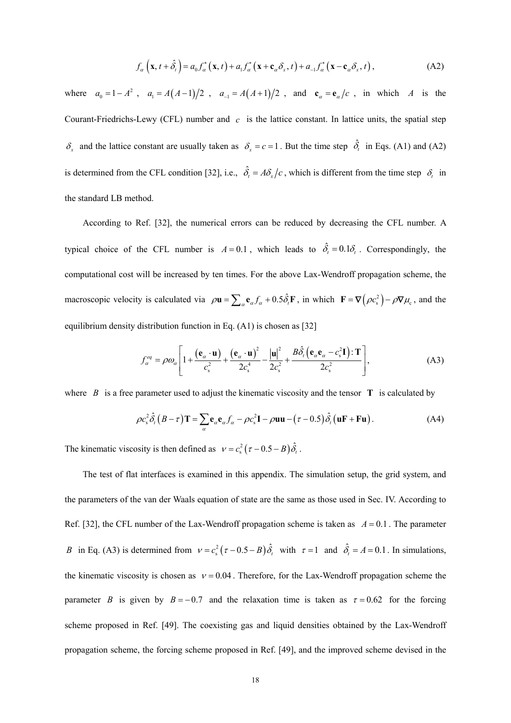$$
f_{\alpha}\left(\mathbf{x},t+\hat{\delta}_{t}\right)=a_{0}f_{\alpha}^{*}\left(\mathbf{x},t\right)+a_{1}f_{\alpha}^{*}\left(\mathbf{x}+\mathbf{c}_{\alpha}\delta_{x},t\right)+a_{-1}f_{\alpha}^{*}\left(\mathbf{x}-\mathbf{c}_{\alpha}\delta_{x},t\right),
$$
\n(A2)

where  $a_0 = 1 - A^2$ ,  $a_1 = A(A-1)/2$ ,  $a_{-1} = A(A+1)/2$ , and  $c_\alpha = c_\alpha/c$ , in which *A* is the Courant-Friedrichs-Lewy (CFL) number and *c* is the lattice constant. In lattice units, the spatial step  $\delta_x$  and the lattice constant are usually taken as  $\delta_x = c = 1$ . But the time step  $\hat{\delta}_t$  in Eqs. (A1) and (A2) is determined from the CFL condition [32], i.e.,  $\hat{\delta}_t = A \delta_x / c$ , which is different from the time step  $\delta_t$  in the standard LB method.

 According to Ref. [32], the numerical errors can be reduced by decreasing the CFL number. A typical choice of the CFL number is  $A = 0.1$ , which leads to  $\hat{\delta}_t = 0.1 \delta_t$ . Correspondingly, the computational cost will be increased by ten times. For the above Lax-Wendroff propagation scheme, the macroscopic velocity is calculated via  $\rho \mathbf{u} = \sum_{\alpha} \mathbf{e}_{\alpha} f_{\alpha} + 0.5 \hat{\delta}_{i} \mathbf{F}$ , in which  $\mathbf{F} = \nabla (\rho c_s^2) - \rho \nabla \mu_c$ , and the equilibrium density distribution function in Eq. (A1) is chosen as [32]

$$
f_{\alpha}^{eq} = \rho \omega_{\alpha} \left[ 1 + \frac{(\mathbf{e}_{\alpha} \cdot \mathbf{u})}{c_{\rm s}^2} + \frac{(\mathbf{e}_{\alpha} \cdot \mathbf{u})^2}{2c_{\rm s}^4} - \frac{|\mathbf{u}|^2}{2c_{\rm s}^2} + \frac{B \hat{\delta}_{\rm r} (\mathbf{e}_{\alpha} \mathbf{e}_{\alpha} - c_{\rm s}^2 \mathbf{I}) : \mathbf{T}}{2c_{\rm s}^2} \right],
$$
(A3)

where *B* is a free parameter used to adjust the kinematic viscosity and the tensor **T** is calculated by

$$
\rho c_s^2 \hat{\delta}_t (B - \tau) \mathbf{T} = \sum_{\alpha} \mathbf{e}_{\alpha} \mathbf{e}_{\alpha} f_{\alpha} - \rho c_s^2 \mathbf{I} - \rho \mathbf{u} \mathbf{u} - (\tau - 0.5) \hat{\delta}_t (\mathbf{u} \mathbf{F} + \mathbf{F} \mathbf{u}). \tag{A4}
$$

The kinematic viscosity is then defined as  $v = c_s^2 (\tau - 0.5 - B) \hat{\delta}_t$ .

 The test of flat interfaces is examined in this appendix. The simulation setup, the grid system, and the parameters of the van der Waals equation of state are the same as those used in Sec. IV. According to Ref. [32], the CFL number of the Lax-Wendroff propagation scheme is taken as  $A = 0.1$ . The parameter *B* in Eq. (A3) is determined from  $v = c_s^2 (\tau - 0.5 - B) \hat{\delta}_t$  with  $\tau = 1$  and  $\hat{\delta}_t = A = 0.1$ . In simulations, the kinematic viscosity is chosen as  $v = 0.04$ . Therefore, for the Lax-Wendroff propagation scheme the parameter *B* is given by  $B = -0.7$  and the relaxation time is taken as  $\tau = 0.62$  for the forcing scheme proposed in Ref. [49]. The coexisting gas and liquid densities obtained by the Lax-Wendroff propagation scheme, the forcing scheme proposed in Ref. [49], and the improved scheme devised in the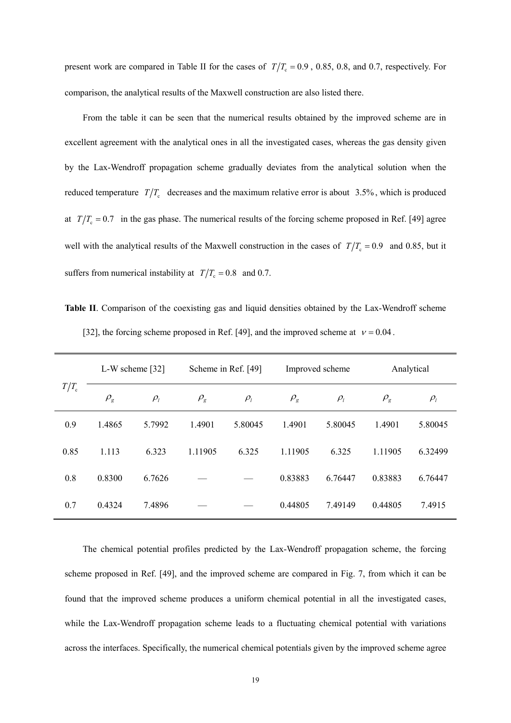present work are compared in Table II for the cases of  $T/T_c = 0.9$ , 0.85, 0.8, and 0.7, respectively. For comparison, the analytical results of the Maxwell construction are also listed there.

 From the table it can be seen that the numerical results obtained by the improved scheme are in excellent agreement with the analytical ones in all the investigated cases, whereas the gas density given by the Lax-Wendroff propagation scheme gradually deviates from the analytical solution when the reduced temperature  $T/T_c$  decreases and the maximum relative error is about 3.5%, which is produced at  $T/T_c = 0.7$  in the gas phase. The numerical results of the forcing scheme proposed in Ref. [49] agree well with the analytical results of the Maxwell construction in the cases of  $T/T_c = 0.9$  and 0.85, but it suffers from numerical instability at  $T/T_c = 0.8$  and 0.7.

**Table II**. Comparison of the coexisting gas and liquid densities obtained by the Lax-Wendroff scheme [32], the forcing scheme proposed in Ref. [49], and the improved scheme at  $v = 0.04$ .

| $T/T_c$ | L-W scheme [32] |                     | Scheme in Ref. [49] |                     | Improved scheme |                     | Analytical     |                     |
|---------|-----------------|---------------------|---------------------|---------------------|-----------------|---------------------|----------------|---------------------|
|         | $\rho_{\rm g}$  | $\rho$ <sub>l</sub> | $\rho_{\rm g}$      | $\rho$ <sub>l</sub> | $\rho_{\rm g}$  | $\rho$ <sub>l</sub> | $\rho_{\rm g}$ | $\rho$ <sub>l</sub> |
| 0.9     | 1.4865          | 5.7992              | 1.4901              | 5.80045             | 1.4901          | 5.80045             | 1.4901         | 5.80045             |
| 0.85    | 1.113           | 6.323               | 1.11905             | 6.325               | 1.11905         | 6.325               | 1.11905        | 6.32499             |
| 0.8     | 0.8300          | 6.7626              |                     |                     | 0.83883         | 6.76447             | 0.83883        | 6.76447             |
| 0.7     | 0.4324          | 7.4896              |                     |                     | 0.44805         | 7.49149             | 0.44805        | 7.4915              |

 The chemical potential profiles predicted by the Lax-Wendroff propagation scheme, the forcing scheme proposed in Ref. [49], and the improved scheme are compared in Fig. 7, from which it can be found that the improved scheme produces a uniform chemical potential in all the investigated cases, while the Lax-Wendroff propagation scheme leads to a fluctuating chemical potential with variations across the interfaces. Specifically, the numerical chemical potentials given by the improved scheme agree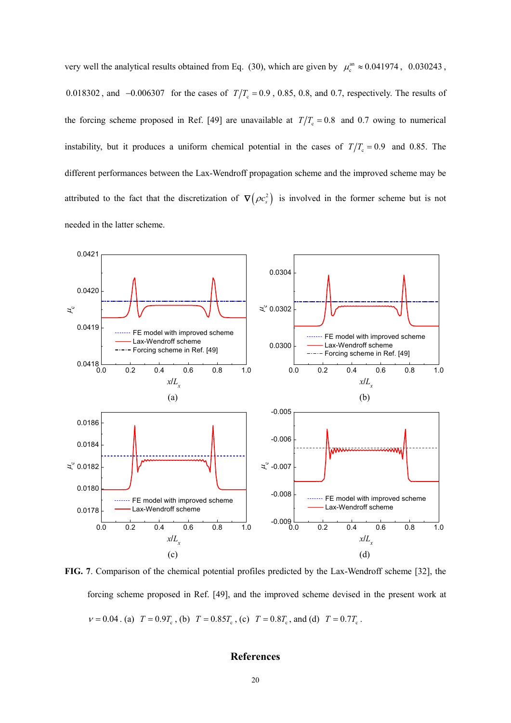very well the analytical results obtained from Eq. (30), which are given by  $\mu_c^{an} \approx 0.041974$ , 0.030243, 0.018302, and  $-0.006307$  for the cases of  $T/T_c = 0.9$ , 0.85, 0.8, and 0.7, respectively. The results of the forcing scheme proposed in Ref. [49] are unavailable at  $T/T_c = 0.8$  and 0.7 owing to numerical instability, but it produces a uniform chemical potential in the cases of  $T/T_c = 0.9$  and 0.85. The different performances between the Lax-Wendroff propagation scheme and the improved scheme may be attributed to the fact that the discretization of  $\nabla (\rho c_s^2)$  is involved in the former scheme but is not needed in the latter scheme.



**FIG. 7**. Comparison of the chemical potential profiles predicted by the Lax-Wendroff scheme [32], the forcing scheme proposed in Ref. [49], and the improved scheme devised in the present work at  $v = 0.04$ . (a)  $T = 0.9T_c$ , (b)  $T = 0.85T_c$ , (c)  $T = 0.8T_c$ , and (d)  $T = 0.7T_c$ .

# **References**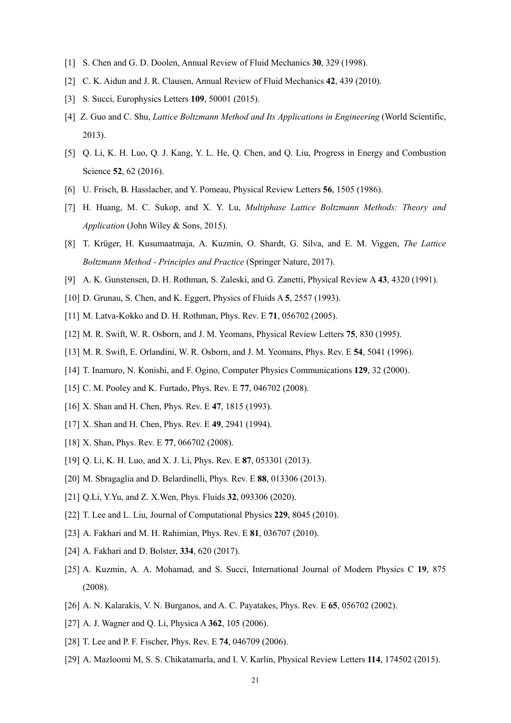- [1] S. Chen and G. D. Doolen, Annual Review of Fluid Mechanics **30**, 329 (1998).
- [2] C. K. Aidun and J. R. Clausen, Annual Review of Fluid Mechanics **42**, 439 (2010).
- [3] S. Succi, Europhysics Letters **109**, 50001 (2015).
- [4] Z. Guo and C. Shu, *Lattice Boltzmann Method and Its Applications in Engineering* (World Scientific, 2013).
- [5] Q. Li, K. H. Luo, Q. J. Kang, Y. L. He, Q. Chen, and Q. Liu, Progress in Energy and Combustion Science **52**, 62 (2016).
- [6] U. Frisch, B. Hasslacher, and Y. Pomeau, Physical Review Letters **56**, 1505 (1986).
- [7] H. Huang, M. C. Sukop, and X. Y. Lu, *Multiphase Lattice Boltzmann Methods: Theory and Application* (John Wiley & Sons, 2015).
- [8] T. Krüger, H. Kusumaatmaja, A. Kuzmin, O. Shardt, G. Silva, and E. M. Viggen, *The Lattice Boltzmann Method - Principles and Practice* (Springer Nature, 2017).
- [9] A. K. Gunstensen, D. H. Rothman, S. Zaleski, and G. Zanetti, Physical Review A **43**, 4320 (1991).
- [10] D. Grunau, S. Chen, and K. Eggert, Physics of Fluids A **5**, 2557 (1993).
- [11] M. Latva-Kokko and D. H. Rothman, Phys. Rev. E **71**, 056702 (2005).
- [12] M. R. Swift, W. R. Osborn, and J. M. Yeomans, Physical Review Letters **75**, 830 (1995).
- [13] M. R. Swift, E. Orlandini, W. R. Osborn, and J. M. Yeomans, Phys. Rev. E **54**, 5041 (1996).
- [14] T. Inamuro, N. Konishi, and F. Ogino, Computer Physics Communications **129**, 32 (2000).
- [15] C. M. Pooley and K. Furtado, Phys. Rev. E **77**, 046702 (2008).
- [16] X. Shan and H. Chen, Phys. Rev. E **47**, 1815 (1993).
- [17] X. Shan and H. Chen, Phys. Rev. E **49**, 2941 (1994).
- [18] X. Shan, Phys. Rev. E **77**, 066702 (2008).
- [19] Q. Li, K. H. Luo, and X. J. Li, Phys. Rev. E **87**, 053301 (2013).
- [20] M. Sbragaglia and D. Belardinelli, Phys. Rev. E **88**, 013306 (2013).
- [21] Q.Li, Y.Yu, and Z. X.Wen, Phys. Fluids **32**, 093306 (2020).
- [22] T. Lee and L. Liu, Journal of Computational Physics **229**, 8045 (2010).
- [23] A. Fakhari and M. H. Rahimian, Phys. Rev. E **81**, 036707 (2010).
- [24] A. Fakhari and D. Bolster, **334**, 620 (2017).
- [25] A. Kuzmin, A. A. Mohamad, and S. Succi, International Journal of Modern Physics C **19**, 875 (2008).
- [26] A. N. Kalarakis, V. N. Burganos, and A. C. Payatakes, Phys. Rev. E **65**, 056702 (2002).
- [27] A. J. Wagner and Q. Li, Physica A **362**, 105 (2006).
- [28] T. Lee and P. F. Fischer, Phys. Rev. E **74**, 046709 (2006).
- [29] A. Mazloomi M, S. S. Chikatamarla, and I. V. Karlin, Physical Review Letters **114**, 174502 (2015).